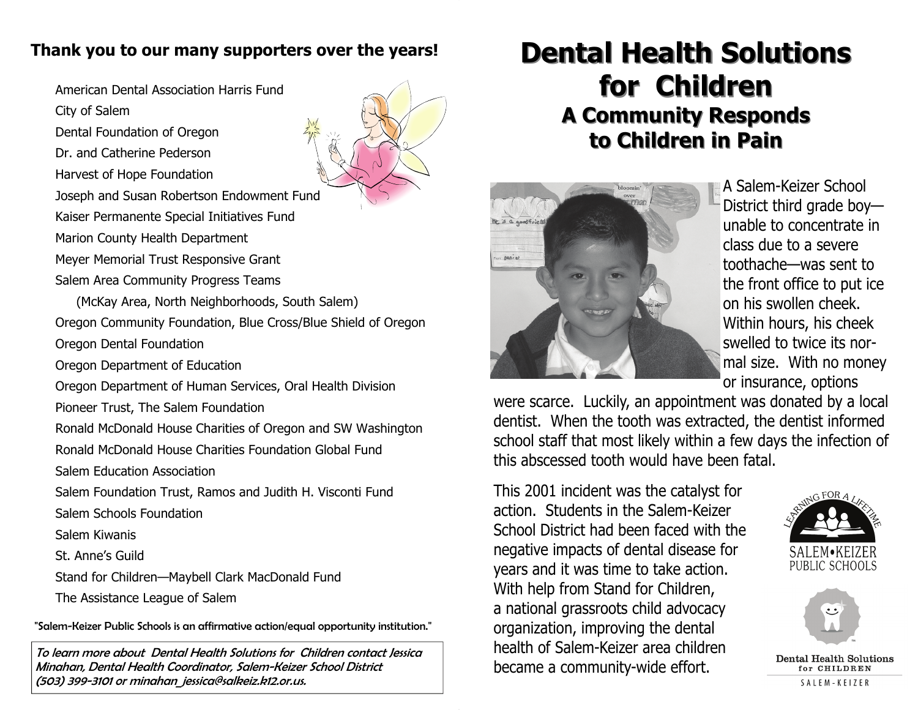### **Thank you to our many supporters over the years!**

American Dental Association Harris Fund

- City of Salem
- Dental Foundation of Oregon
- Dr. and Catherine Pederson
- Harvest of Hope Foundation
- Joseph and Susan Robertson Endowment Fund
- Kaiser Permanente Special Initiatives Fund
- Marion County Health Department
- Meyer Memorial Trust Responsive Grant
- Salem Area Community Progress Teams
- (McKay Area, North Neighborhoods, South Salem)
- Oregon Community Foundation, Blue Cross/Blue Shield of Oregon
- Oregon Dental Foundation
- Oregon Department of Education
- Oregon Department of Human Services, Oral Health Division
- Pioneer Trust, The Salem Foundation
- Ronald McDonald House Charities of Oregon and SW Washington
- Ronald McDonald House Charities Foundation Global Fund
- Salem Education Association
- Salem Foundation Trust, Ramos and Judith H. Visconti Fund Salem Schools Foundation
- Salem Kiwanis
- St. Anne's Guild
- Stand for Children—Maybell Clark MacDonald Fund
- The Assistance League of Salem
- "Salem-Keizer Public Schools is an affirmative action/equal opportunity institution."
- To learn more about Dental Health Solutions for Children contact Jessica Minahan, Dental Health Coordinator, Salem-Keizer School District (503) 399-3101 or minahan\_jessica@salkeiz.k12.or.us.

# **Dental Health Solutions** for **Children A Community Responds A Community Responds to Children in Pain to Children in Pain**



A Salem-Keizer School District third grade boy unable to concentrate in class due to a severe toothache—was sent to the front office to put ice on his swollen cheek. Within hours, his cheek swelled to twice its normal size. With no money or insurance, options

were scarce. Luckily, an appointment was donated by a local dentist. When the tooth was extracted, the dentist informed school staff that most likely within a few days the infection of this abscessed tooth would have been fatal.

This 2001 incident was the catalyst for action. Students in the Salem-Keizer School District had been faced with the negative impacts of dental disease for years and it was time to take action. With help from Stand for Children, a national grassroots child advocacy organization, improving the dental health of Salem-Keizer area children became a community-wide effort.





**Dental Health Solutions** for CHILDREN SALEM-KEIZER